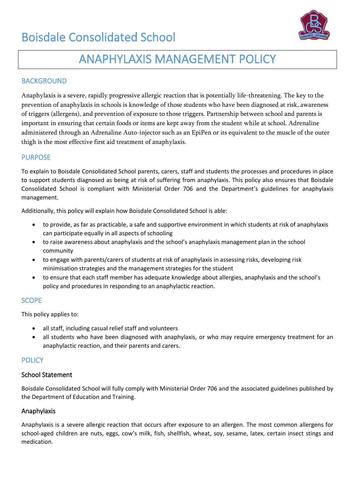

## ANAPHYLAXIS MANAGEMENT POLICY

### **BACKGROUND**

Anaphylaxis is a severe, rapidly progressive allergic reaction that is potentially life-threatening. The key to the prevention of anaphylaxis in schools is knowledge of those students who have been diagnosed at risk, awareness of triggers (allergens), and prevention of exposure to those triggers. Partnership between school and parents is important in ensuring that certain foods or items are kept away from the student while at school. Adrenaline administered through an Adrenaline Auto-injector such as an EpiPen or its equivalent to the muscle of the outer thigh is the most effective first aid treatment of anaphylaxis.

#### PURPOSE

To explain to Boisdale Consolidated School parents, carers, staff and students the processes and procedures in place to support students diagnosed as being at risk of suffering from anaphylaxis. This policy also ensures that Boisdale Consolidated School is compliant with Ministerial Order 706 and the Department's guidelines for anaphylaxis management.

Additionally, this policy will explain how Boisdale Consolidated School is able:

- to provide, as far as practicable, a safe and supportive environment in which students at risk of anaphylaxis can participate equally in all aspects of schooling
- to raise awareness about anaphylaxis and the school's anaphylaxis management plan in the school community
- to engage with parents/carers of students at risk of anaphylaxis in assessing risks, developing risk minimisation strategies and the management strategies for the student
- to ensure that each staff member has adequate knowledge about allergies, anaphylaxis and the school's policy and procedures in responding to an anaphylactic reaction.

#### **SCOPE**

This policy applies to:

- all staff, including casual relief staff and volunteers
- all students who have been diagnosed with anaphylaxis, or who may require emergency treatment for an anaphylactic reaction, and their parents and carers.

#### **POLICY**

#### School Statement

Boisdale Consolidated School will fully comply with Ministerial Order 706 and the associated guidelines published by the Department of Education and Training.

#### Anaphylaxis

Anaphylaxis is a severe allergic reaction that occurs after exposure to an allergen. The most common allergens for school-aged children are nuts, eggs, cow's milk, fish, shellfish, wheat, soy, sesame, latex, certain insect stings and medication.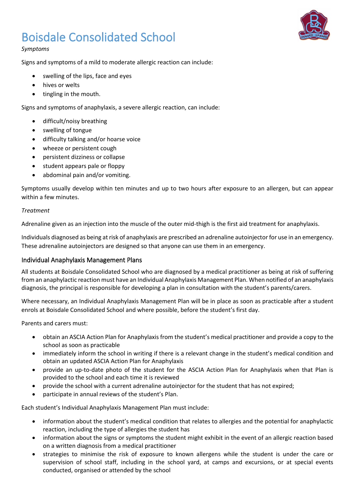

#### *Symptoms*

Signs and symptoms of a mild to moderate allergic reaction can include:

- swelling of the lips, face and eyes
- hives or welts
- tingling in the mouth.

Signs and symptoms of anaphylaxis, a severe allergic reaction, can include:

- difficult/noisy breathing
- swelling of tongue
- difficulty talking and/or hoarse voice
- wheeze or persistent cough
- persistent dizziness or collapse
- student appears pale or floppy
- abdominal pain and/or vomiting.

Symptoms usually develop within ten minutes and up to two hours after exposure to an allergen, but can appear within a few minutes.

#### *Treatment*

Adrenaline given as an injection into the muscle of the outer mid-thigh is the first aid treatment for anaphylaxis.

Individuals diagnosed as being at risk of anaphylaxis are prescribed an adrenaline autoinjector for use in an emergency. These adrenaline autoinjectors are designed so that anyone can use them in an emergency.

#### Individual Anaphylaxis Management Plans

All students at Boisdale Consolidated School who are diagnosed by a medical practitioner as being at risk of suffering from an anaphylactic reaction must have an Individual Anaphylaxis Management Plan. When notified of an anaphylaxis diagnosis, the principal is responsible for developing a plan in consultation with the student's parents/carers.

Where necessary, an Individual Anaphylaxis Management Plan will be in place as soon as practicable after a student enrols at Boisdale Consolidated School and where possible, before the student's first day.

Parents and carers must:

- obtain an ASCIA Action Plan for Anaphylaxis from the student's medical practitioner and provide a copy to the school as soon as practicable
- immediately inform the school in writing if there is a relevant change in the student's medical condition and obtain an updated ASCIA Action Plan for Anaphylaxis
- provide an up-to-date photo of the student for the ASCIA Action Plan for Anaphylaxis when that Plan is provided to the school and each time it is reviewed
- provide the school with a current adrenaline autoinjector for the student that has not expired;
- participate in annual reviews of the student's Plan.

Each student's Individual Anaphylaxis Management Plan must include:

- information about the student's medical condition that relates to allergies and the potential for anaphylactic reaction, including the type of allergies the student has
- information about the signs or symptoms the student might exhibit in the event of an allergic reaction based on a written diagnosis from a medical practitioner
- strategies to minimise the risk of exposure to known allergens while the student is under the care or supervision of school staff, including in the school yard, at camps and excursions, or at special events conducted, organised or attended by the school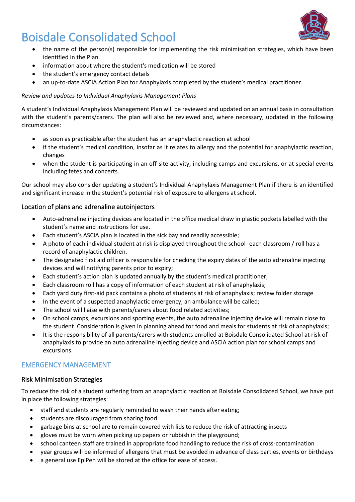

- the name of the person(s) responsible for implementing the risk minimisation strategies, which have been identified in the Plan
- information about where the student's medication will be stored
- the student's emergency contact details
- an up-to-date ASCIA Action Plan for Anaphylaxis completed by the student's medical practitioner.

#### *Review and updates to Individual Anaphylaxis Management Plans*

A student's Individual Anaphylaxis Management Plan will be reviewed and updated on an annual basis in consultation with the student's parents/carers. The plan will also be reviewed and, where necessary, updated in the following circumstances:

- as soon as practicable after the student has an anaphylactic reaction at school
- if the student's medical condition, insofar as it relates to allergy and the potential for anaphylactic reaction, changes
- when the student is participating in an off-site activity, including camps and excursions, or at special events including fetes and concerts.

Our school may also consider updating a student's Individual Anaphylaxis Management Plan if there is an identified and significant increase in the student's potential risk of exposure to allergens at school.

#### Location of plans and adrenaline autoinjectors

- Auto-adrenaline injecting devices are located in the office medical draw in plastic pockets labelled with the student's name and instructions for use.
- Each student's ASCIA plan is located in the sick bay and readily accessible;
- A photo of each individual student at risk is displayed throughout the school- each classroom / roll has a record of anaphylactic children.
- The designated first aid officer is responsible for checking the expiry dates of the auto adrenaline injecting devices and will notifying parents prior to expiry;
- Each student's action plan is updated annually by the student's medical practitioner;
- Each classroom roll has a copy of information of each student at risk of anaphylaxis;
- Each yard duty first-aid pack contains a photo of students at risk of anaphylaxis; review folder storage
- In the event of a suspected anaphylactic emergency, an ambulance will be called;
- The school will liaise with parents/carers about food related activities;
- On school camps, excursions and sporting events, the auto adrenaline injecting device will remain close to the student. Consideration is given in planning ahead for food and meals for students at risk of anaphylaxis;
- It is the responsibility of all parents/carers with students enrolled at Boisdale Consolidated School at risk of anaphylaxis to provide an auto adrenaline injecting device and ASCIA action plan for school camps and excursions.

#### EMERGENCY MANAGEMENT

#### Risk Minimisation Strategies

To reduce the risk of a student suffering from an anaphylactic reaction at Boisdale Consolidated School, we have put in place the following strategies:

- staff and students are regularly reminded to wash their hands after eating;
- students are discouraged from sharing food
- garbage bins at school are to remain covered with lids to reduce the risk of attracting insects
- gloves must be worn when picking up papers or rubbish in the playground;
- school canteen staff are trained in appropriate food handling to reduce the risk of cross-contamination
- year groups will be informed of allergens that must be avoided in advance of class parties, events or birthdays
- a general use EpiPen will be stored at the office for ease of access.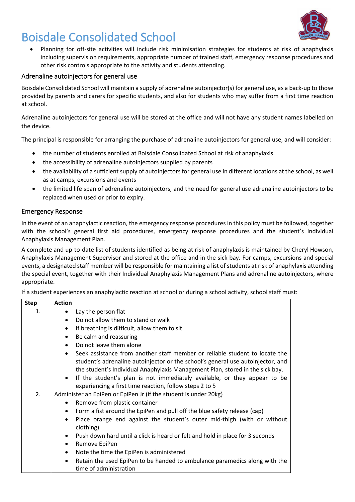

• Planning for off-site activities will include risk minimisation strategies for students at risk of anaphylaxis including supervision requirements, appropriate number of trained staff, emergency response procedures and other risk controls appropriate to the activity and students attending.

#### Adrenaline autoinjectors for general use

Boisdale Consolidated School will maintain a supply of adrenaline autoinjector(s) for general use, as a back-up to those provided by parents and carers for specific students, and also for students who may suffer from a first time reaction at school.

Adrenaline autoinjectors for general use will be stored at the office and will not have any student names labelled on the device.

The principal is responsible for arranging the purchase of adrenaline autoinjectors for general use, and will consider:

- the number of students enrolled at Boisdale Consolidated School at risk of anaphylaxis
- the accessibility of adrenaline autoinjectors supplied by parents
- the availability of a sufficient supply of autoinjectors for general use in different locations at the school, as well as at camps, excursions and events
- the limited life span of adrenaline autoinjectors, and the need for general use adrenaline autoinjectors to be replaced when used or prior to expiry.

#### Emergency Response

In the event of an anaphylactic reaction, the emergency response procedures in this policy must be followed, together with the school's general first aid procedures, emergency response procedures and the student's Individual Anaphylaxis Management Plan.

A complete and up-to-date list of students identified as being at risk of anaphylaxis is maintained by Cheryl Howson, Anaphylaxis Management Supervisor and stored at the office and in the sick bay. For camps, excursions and special events, a designated staff member will be responsible for maintaining a list of students at risk of anaphylaxis attending the special event, together with their Individual Anaphylaxis Management Plans and adrenaline autoinjectors, where appropriate.

If a student experiences an anaphylactic reaction at school or during a school activity, school staff must:

| <b>Step</b> | <b>Action</b>                                                                                                     |
|-------------|-------------------------------------------------------------------------------------------------------------------|
| 1.          | Lay the person flat                                                                                               |
|             | Do not allow them to stand or walk                                                                                |
|             | If breathing is difficult, allow them to sit<br>$\bullet$                                                         |
|             | Be calm and reassuring<br>$\bullet$                                                                               |
|             | Do not leave them alone<br>$\bullet$                                                                              |
|             | Seek assistance from another staff member or reliable student to locate the<br>$\bullet$                          |
|             | student's adrenaline autoinjector or the school's general use autoinjector, and                                   |
|             | the student's Individual Anaphylaxis Management Plan, stored in the sick bay.                                     |
|             | If the student's plan is not immediately available, or they appear to be<br>$\bullet$                             |
|             | experiencing a first time reaction, follow steps 2 to 5                                                           |
| 2.          | Administer an EpiPen or EpiPen Jr (if the student is under 20kg)                                                  |
|             | Remove from plastic container                                                                                     |
|             | Form a fist around the EpiPen and pull off the blue safety release (cap)                                          |
|             | Place orange end against the student's outer mid-thigh (with or without<br>$\bullet$                              |
|             | clothing)                                                                                                         |
|             | Push down hard until a click is heard or felt and hold in place for 3 seconds<br>$\bullet$                        |
|             | Remove EpiPen<br>$\bullet$                                                                                        |
|             | Note the time the EpiPen is administered<br>$\bullet$                                                             |
|             | Retain the used EpiPen to be handed to ambulance paramedics along with the<br>$\bullet$<br>time of administration |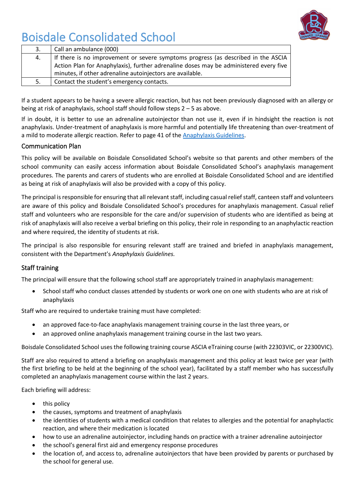

| 3. | Call an ambulance (000)                                                               |
|----|---------------------------------------------------------------------------------------|
| 4. | If there is no improvement or severe symptoms progress (as described in the ASCIA     |
|    | Action Plan for Anaphylaxis), further adrenaline doses may be administered every five |
|    | minutes, if other adrenaline autoinjectors are available.                             |
| 5. | Contact the student's emergency contacts.                                             |

If a student appears to be having a severe allergic reaction, but has not been previously diagnosed with an allergy or being at risk of anaphylaxis, school staff should follow steps 2 – 5 as above.

If in doubt, it is better to use an adrenaline autoinjector than not use it, even if in hindsight the reaction is not anaphylaxis. Under-treatment of anaphylaxis is more harmful and potentially life threatening than over-treatment of a mild to moderate allergic reaction. Refer to page 41 of th[e Anaphylaxis Guidelines.](http://www.education.vic.gov.au/school/teachers/health/pages/anaphylaxisschl.aspx)

#### Communication Plan

This policy will be available on Boisdale Consolidated School's website so that parents and other members of the school community can easily access information about Boisdale Consolidated School's anaphylaxis management procedures. The parents and carers of students who are enrolled at Boisdale Consolidated School and are identified as being at risk of anaphylaxis will also be provided with a copy of this policy.

The principal is responsible for ensuring that all relevant staff, including casual relief staff, canteen staff and volunteers are aware of this policy and Boisdale Consolidated School's procedures for anaphylaxis management. Casual relief staff and volunteers who are responsible for the care and/or supervision of students who are identified as being at risk of anaphylaxis will also receive a verbal briefing on this policy, their role in responding to an anaphylactic reaction and where required, the identity of students at risk.

The principal is also responsible for ensuring relevant staff are trained and briefed in anaphylaxis management, consistent with the Department's *Anaphylaxis Guidelines.*

#### Staff training

The principal will ensure that the following school staff are appropriately trained in anaphylaxis management:

• School staff who conduct classes attended by students or work one on one with students who are at risk of anaphylaxis

Staff who are required to undertake training must have completed:

- an approved face-to-face anaphylaxis management training course in the last three years, or
- an approved online anaphylaxis management training course in the last two years.

Boisdale Consolidated School uses the following training course ASCIA eTraining course (with 22303VIC, or 22300VIC).

Staff are also required to attend a briefing on anaphylaxis management and this policy at least twice per year (with the first briefing to be held at the beginning of the school year), facilitated by a staff member who has successfully completed an anaphylaxis management course within the last 2 years.

Each briefing will address:

- this policy
- the causes, symptoms and treatment of anaphylaxis
- the identities of students with a medical condition that relates to allergies and the potential for anaphylactic reaction, and where their medication is located
- how to use an adrenaline autoinjector, including hands on practice with a trainer adrenaline autoinjector
- the school's general first aid and emergency response procedures
- the location of, and access to, adrenaline autoinjectors that have been provided by parents or purchased by the school for general use.